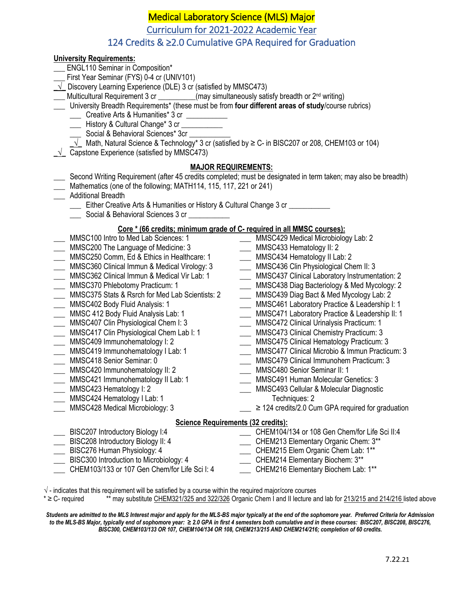# Medical Laboratory Science (MLS) Major

Curriculum for 2021-2022 Academic Year

## 124 Credits & ≥2.0 Cumulative GPA Required for Graduation

### **University Requirements:**

- ENGL110 Seminar in Composition\*
- First Year Seminar (FYS) 0-4 cr (UNIV101)
- **\_√\_** Discovery Learning Experience (DLE) 3 cr (satisfied by MMSC473)
- **Wulticultural Requirement 3 cr \_\_\_\_\_\_\_\_\_(may simultaneously satisfy breadth or 2<sup>nd</sup> writing)**
- \_\_\_ University Breadth Requirements\* (these must be from **four different areas of study**/course rubrics)
	- \_\_\_ Creative Arts & Humanities\* 3 cr \_\_\_\_\_\_\_\_\_\_\_
	- \_\_\_ History & Cultural Change\* 3 cr \_\_\_\_\_\_\_\_\_\_\_
	- \_\_\_ Social & Behavioral Sciences\* 3cr \_\_\_\_\_\_\_\_\_\_\_
	- $\sqrt{\phantom{a}}$  Math, Natural Science & Technology\* 3 cr (satisfied by  $\geq$  C- in BISC207 or 208, CHEM103 or 104)
- $\sqrt{\phantom{a}}$  Capstone Experience (satisfied by MMSC473)

## **MAJOR REQUIREMENTS:**

- \_\_\_ Second Writing Requirement (after 45 credits completed; must be designated in term taken; may also be breadth)
- \_\_\_ Mathematics (one of the following; MATH114, 115, 117, 221 or 241)
- \_\_\_ Additional Breadth
	- \_\_\_ Either Creative Arts & Humanities or History & Cultural Change 3 cr \_\_\_\_\_\_\_\_\_\_\_
	- \_\_\_\_ Social & Behavioral Sciences 3 cr

#### **Core \* (66 credits; minimum grade of C- required in all MMSC courses):**

- MMSC100 Intro to Med Lab Sciences: 1
- \_\_\_ MMSC200 The Language of Medicine: 3
- \_\_\_ MMSC250 Comm, Ed & Ethics in Healthcare: 1
- \_\_\_ MMSC360 Clinical Immun & Medical Virology: 3
- \_\_\_ MMSC362 Clinical Immun & Medical Vir Lab: 1
- \_\_\_ MMSC370 Phlebotomy Practicum: 1
- \_\_\_ MMSC375 Stats & Rsrch for Med Lab Scientists: 2
- \_\_\_ MMSC402 Body Fluid Analysis: 1
- \_\_\_ MMSC 412 Body Fluid Analysis Lab: 1
- \_\_\_ MMSC407 Clin Physiological Chem I: 3
- \_\_\_ MMSC417 Clin Physiological Chem Lab I: 1
- \_\_\_ MMSC409 Immunohematology I: 2
- \_\_\_ MMSC419 Immunohematology I Lab: 1
- \_\_\_ MMSC418 Senior Seminar: 0
- \_\_\_ MMSC420 Immunohematology II: 2
- \_\_\_ MMSC421 Immunohematology II Lab: 1
- \_\_\_ MMSC423 Hematology I: 2
- MMSC424 Hematology I Lab: 1
- \_\_\_ MMSC428 Medical Microbiology: 3
- \_\_\_ MMSC429 Medical Microbiology Lab: 2
- \_\_\_ MMSC433 Hematology II: 2
- \_\_\_ MMSC434 Hematology II Lab: 2
- \_\_\_ MMSC436 Clin Physiological Chem II: 3
- \_\_\_ MMSC437 Clinical Laboratory Instrumentation: 2
- \_\_\_ MMSC438 Diag Bacteriology & Med Mycology: 2
- \_\_\_ MMSC439 Diag Bact & Med Mycology Lab: 2
- \_\_\_ MMSC461 Laboratory Practice & Leadership I: 1
- \_\_\_ MMSC471 Laboratory Practice & Leadership II: 1
- \_\_\_ MMSC472 Clinical Urinalysis Practicum: 1
- \_\_\_ MMSC473 Clinical Chemistry Practicum: 3
- \_\_\_ MMSC475 Clinical Hematology Practicum: 3
- \_\_\_ MMSC477 Clinical Microbio & Immun Practicum: 3
- \_\_\_ MMSC479 Clinical Immunohem Practicum: 3
- \_\_\_ MMSC480 Senior Seminar II: 1
- \_\_\_ MMSC491 Human Molecular Genetics: 3
- \_\_\_ MMSC493 Cellular & Molecular Diagnostic Techniques: 2
- $\geq$  2.124 credits/2.0 Cum GPA required for graduation

### **Science Requirements (32 credits):**

- **EISC207 Introductory Biology I:4**
- \_\_\_ BISC208 Introductory Biology II: 4
- \_\_\_ BISC276 Human Physiology: 4
- \_\_\_ BISC300 Introduction to Microbiology: 4
- \_\_\_ CHEM103/133 or 107 Gen Chem/for Life Sci I: 4
- 
- \_\_\_ CHEM104/134 or 108 Gen Chem/for Life Sci II:4
- \_\_\_ CHEM213 Elementary Organic Chem: 3\*\*
- \_\_\_ CHEM215 Elem Organic Chem Lab: 1\*\*
- \_\_\_ CHEM214 Elementary Biochem: 3\*\*
- \_\_\_ CHEM216 Elementary Biochem Lab: 1\*\*
- $\sqrt{\ }$  indicates that this requirement will be satisfied by a course within the required major/core courses
- \* ≥ C- required \*\* may substitute CHEM321/325 and 322/326 Organic Chem I and II lecture and lab for 213/215 and 214/216 listed above

*Students are admitted to the MLS Interest major and apply for the MLS-BS major typically at the end of the sophomore year. Preferred Criteria for Admission to the MLS-BS Major, typically end of sophomore year: ≥ 2.0 GPA in first 4 semesters both cumulative and in these courses: BISC207, BISC208, BISC276, BISC300, CHEM103/133 OR 107, CHEM104/134 OR 108, CHEM213/215 AND CHEM214/216; completion of 60 credits.*